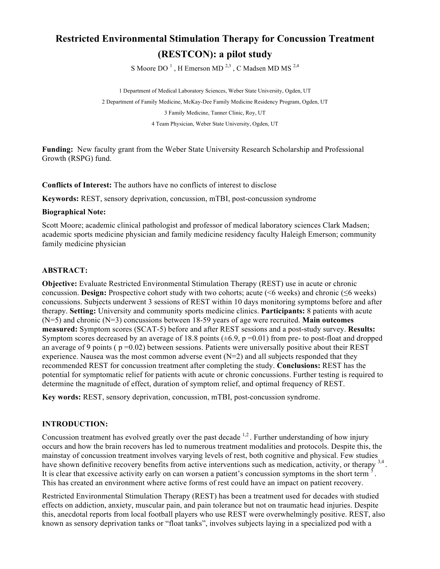# **Restricted Environmental Stimulation Therapy for Concussion Treatment (RESTCON): a pilot study**

S Moore DO<sup>1</sup>, H Emerson MD<sup>2,3</sup>, C Madsen MD MS<sup>2,4</sup>

1 Department of Medical Laboratory Sciences, Weber State University, Ogden, UT 2 Department of Family Medicine, McKay-Dee Family Medicine Residency Program, Ogden, UT 3 Family Medicine, Tanner Clinic, Roy, UT 4 Team Physician, Weber State University, Ogden, UT

**Funding:** New faculty grant from the Weber State University Research Scholarship and Professional Growth (RSPG) fund.

**Conflicts of Interest:** The authors have no conflicts of interest to disclose

**Keywords:** REST, sensory deprivation, concussion, mTBI, post-concussion syndrome

#### **Biographical Note:**

Scott Moore; academic clinical pathologist and professor of medical laboratory sciences Clark Madsen; academic sports medicine physician and family medicine residency faculty Haleigh Emerson; community family medicine physician

#### **ABSTRACT:**

**Objective:** Evaluate Restricted Environmental Stimulation Therapy (REST) use in acute or chronic concussion. **Design:** Prospective cohort study with two cohorts; acute (<6 weeks) and chronic (≤6 weeks) concussions. Subjects underwent 3 sessions of REST within 10 days monitoring symptoms before and after therapy. **Setting:** University and community sports medicine clinics. **Participants:** 8 patients with acute (N=5) and chronic (N=3) concussions between 18-59 years of age were recruited. **Main outcomes measured:** Symptom scores (SCAT-5) before and after REST sessions and a post-study survey. **Results:** Symptom scores decreased by an average of 18.8 points ( $\pm 6.9$ , p =0.01) from pre- to post-float and dropped an average of 9 points ( $p = 0.02$ ) between sessions. Patients were universally positive about their REST experience. Nausea was the most common adverse event  $(N=2)$  and all subjects responded that they recommended REST for concussion treatment after completing the study. **Conclusions:** REST has the potential for symptomatic relief for patients with acute or chronic concussions. Further testing is required to determine the magnitude of effect, duration of symptom relief, and optimal frequency of REST.

**Key words:** REST, sensory deprivation, concussion, mTBI, post-concussion syndrome.

#### **INTRODUCTION:**

Concussion treatment has evolved greatly over the past decade  $^{1,2}$ . Further understanding of how injury occurs and how the brain recovers has led to numerous treatment modalities and protocols. Despite this, the mainstay of concussion treatment involves varying levels of rest, both cognitive and physical. Few studies have shown definitive recovery benefits from active interventions such as medication, activity, or therapy  $^{3,4}$ . It is clear that excessive activity early on can worsen a patient's concussion symptoms in the short term <sup>5</sup> . This has created an environment where active forms of rest could have an impact on patient recovery.

Restricted Environmental Stimulation Therapy (REST) has been a treatment used for decades with studied effects on addiction, anxiety, muscular pain, and pain tolerance but not on traumatic head injuries. Despite this, anecdotal reports from local football players who use REST were overwhelmingly positive. REST, also known as sensory deprivation tanks or "float tanks", involves subjects laying in a specialized pod with a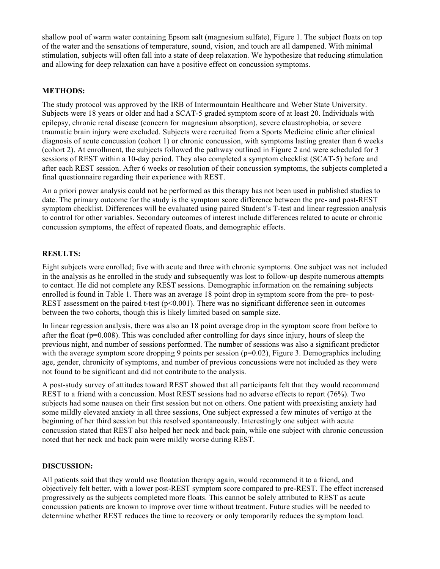shallow pool of warm water containing Epsom salt (magnesium sulfate), Figure 1. The subject floats on top of the water and the sensations of temperature, sound, vision, and touch are all dampened. With minimal stimulation, subjects will often fall into a state of deep relaxation. We hypothesize that reducing stimulation and allowing for deep relaxation can have a positive effect on concussion symptoms.

#### **METHODS:**

The study protocol was approved by the IRB of Intermountain Healthcare and Weber State University. Subjects were 18 years or older and had a SCAT-5 graded symptom score of at least 20. Individuals with epilepsy, chronic renal disease (concern for magnesium absorption), severe claustrophobia, or severe traumatic brain injury were excluded. Subjects were recruited from a Sports Medicine clinic after clinical diagnosis of acute concussion (cohort 1) or chronic concussion, with symptoms lasting greater than 6 weeks (cohort 2). At enrollment, the subjects followed the pathway outlined in Figure 2 and were scheduled for 3 sessions of REST within a 10-day period. They also completed a symptom checklist (SCAT-5) before and after each REST session. After 6 weeks or resolution of their concussion symptoms, the subjects completed a final questionnaire regarding their experience with REST.

An a priori power analysis could not be performed as this therapy has not been used in published studies to date. The primary outcome for the study is the symptom score difference between the pre- and post-REST symptom checklist. Differences will be evaluated using paired Student's T-test and linear regression analysis to control for other variables. Secondary outcomes of interest include differences related to acute or chronic concussion symptoms, the effect of repeated floats, and demographic effects.

#### **RESULTS:**

Eight subjects were enrolled; five with acute and three with chronic symptoms. One subject was not included in the analysis as he enrolled in the study and subsequently was lost to follow-up despite numerous attempts to contact. He did not complete any REST sessions. Demographic information on the remaining subjects enrolled is found in Table 1. There was an average 18 point drop in symptom score from the pre- to post-REST assessment on the paired t-test ( $p<0.001$ ). There was no significant difference seen in outcomes between the two cohorts, though this is likely limited based on sample size.

In linear regression analysis, there was also an 18 point average drop in the symptom score from before to after the float (p=0.008). This was concluded after controlling for days since injury, hours of sleep the previous night, and number of sessions performed. The number of sessions was also a significant predictor with the average symptom score dropping 9 points per session ( $p=0.02$ ), Figure 3. Demographics including age, gender, chronicity of symptoms, and number of previous concussions were not included as they were not found to be significant and did not contribute to the analysis.

A post-study survey of attitudes toward REST showed that all participants felt that they would recommend REST to a friend with a concussion. Most REST sessions had no adverse effects to report (76%). Two subjects had some nausea on their first session but not on others. One patient with preexisting anxiety had some mildly elevated anxiety in all three sessions, One subject expressed a few minutes of vertigo at the beginning of her third session but this resolved spontaneously. Interestingly one subject with acute concussion stated that REST also helped her neck and back pain, while one subject with chronic concussion noted that her neck and back pain were mildly worse during REST.

#### **DISCUSSION:**

All patients said that they would use floatation therapy again, would recommend it to a friend, and objectively felt better, with a lower post-REST symptom score compared to pre-REST. The effect increased progressively as the subjects completed more floats. This cannot be solely attributed to REST as acute concussion patients are known to improve over time without treatment. Future studies will be needed to determine whether REST reduces the time to recovery or only temporarily reduces the symptom load.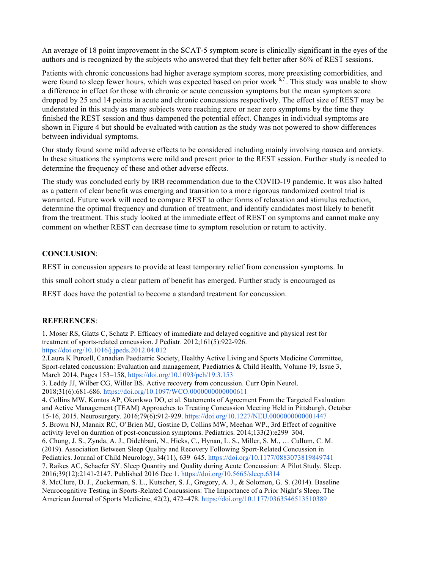An average of 18 point improvement in the SCAT-5 symptom score is clinically significant in the eyes of the authors and is recognized by the subjects who answered that they felt better after 86% of REST sessions.

Patients with chronic concussions had higher average symptom scores, more preexisting comorbidities, and were found to sleep fewer hours, which was expected based on prior work  $6,7$ . This study was unable to show a difference in effect for those with chronic or acute concussion symptoms but the mean symptom score dropped by 25 and 14 points in acute and chronic concussions respectively. The effect size of REST may be understated in this study as many subjects were reaching zero or near zero symptoms by the time they finished the REST session and thus dampened the potential effect. Changes in individual symptoms are shown in Figure 4 but should be evaluated with caution as the study was not powered to show differences between individual symptoms.

Our study found some mild adverse effects to be considered including mainly involving nausea and anxiety. In these situations the symptoms were mild and present prior to the REST session. Further study is needed to determine the frequency of these and other adverse effects.

The study was concluded early by IRB recommendation due to the COVID-19 pandemic. It was also halted as a pattern of clear benefit was emerging and transition to a more rigorous randomized control trial is warranted. Future work will need to compare REST to other forms of relaxation and stimulus reduction, determine the optimal frequency and duration of treatment, and identify candidates most likely to benefit from the treatment. This study looked at the immediate effect of REST on symptoms and cannot make any comment on whether REST can decrease time to symptom resolution or return to activity.

#### **CONCLUSION**:

REST in concussion appears to provide at least temporary relief from concussion symptoms. In

this small cohort study a clear pattern of benefit has emerged. Further study is encouraged as

REST does have the potential to become a standard treatment for concussion.

#### **REFERENCES**:

1. Moser RS, Glatts C, Schatz P. Efficacy of immediate and delayed cognitive and physical rest for treatment of sports-related concussion. J Pediatr. 2012;161(5):922-926. https://doi.org/10.1016/j.jpeds.2012.04.012

2.Laura K Purcell, Canadian Paediatric Society, Healthy Active Living and Sports Medicine Committee, Sport-related concussion: Evaluation and management, Paediatrics & Child Health, Volume 19, Issue 3, March 2014, Pages 153–158, https://doi.org/10.1093/pch/19.3.153

3. Leddy JJ, Wilber CG, Willer BS. Active recovery from concussion. Curr Opin Neurol. 2018;31(6):681-686. https://doi.org/10.1097/WCO.0000000000000611

4. Collins MW, Kontos AP, Okonkwo DO, et al. Statements of Agreement From the Targeted Evaluation and Active Management (TEAM) Approaches to Treating Concussion Meeting Held in Pittsburgh, October 15-16, 2015. Neurosurgery. 2016;79(6):912-929. https://doi.org/10.1227/NEU.0000000000001447 5. Brown NJ, Mannix RC, O'Brien MJ, Gostine D, Collins MW, Meehan WP., 3rd Effect of cognitive activity level on duration of post-concussion symptoms. Pediatrics. 2014;133(2):e299–304. 6. Chung, J. S., Zynda, A. J., Didehbani, N., Hicks, C., Hynan, L. S., Miller, S. M., … Cullum, C. M. (2019). Association Between Sleep Quality and Recovery Following Sport-Related Concussion in Pediatrics. Journal of Child Neurology, 34(11), 639–645. https://doi.org/10.1177/0883073819849741 7. Raikes AC, Schaefer SY. Sleep Quantity and Quality during Acute Concussion: A Pilot Study. Sleep. 2016;39(12):2141-2147. Published 2016 Dec 1. https://doi.org/10.5665/sleep.6314 8. McClure, D. J., Zuckerman, S. L., Kutscher, S. J., Gregory, A. J., & Solomon, G. S. (2014). Baseline

Neurocognitive Testing in Sports-Related Concussions: The Importance of a Prior Night's Sleep. The American Journal of Sports Medicine, 42(2), 472–478. https://doi.org/10.1177/0363546513510389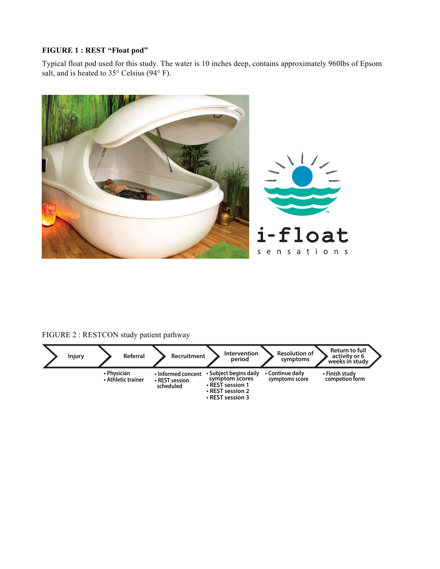### **FIGURE 1 : REST "Float pod"**

Typical float pod used for this study. The water is 10 inches deep, contains approximately 960lbs of Epsom salt, and is heated to  $35^{\circ}$  Celsius (94 $^{\circ}$  F).



## FIGURE 2 : RESTCON study patient pathway

| <b>Injury</b> |             | Referral           | Recruitment                                       | <b>Intervention</b><br>period                                                                        | <b>Resolution of</b><br>symptoms   | Return to full<br>activity or 6<br>weeks in study |
|---------------|-------------|--------------------|---------------------------------------------------|------------------------------------------------------------------------------------------------------|------------------------------------|---------------------------------------------------|
|               | • Physician | • Athletic trainer | • Informed concent<br>• REST session<br>scheduled | • Subject begins daily<br>symptom scores<br>• REST session 1<br>• REST session 2<br>• REST session 3 | • Continue daily<br>symptoms score | • Finish study<br>competion form                  |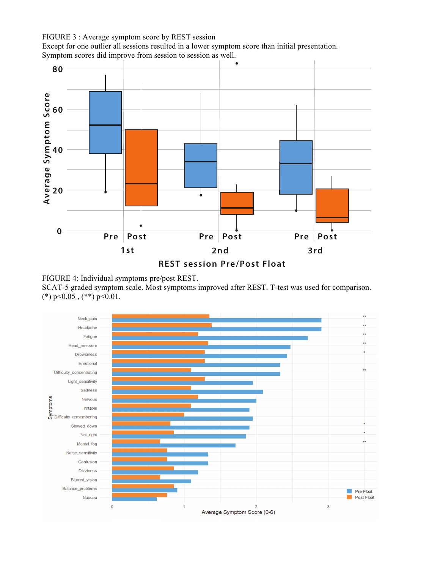FIGURE 3 : Average symptom score by REST session

Except for one outlier all sessions resulted in a lower symptom score than initial presentation. Symptom scores did improve from session to session as well.



FIGURE 4: Individual symptoms pre/post REST.

SCAT-5 graded symptom scale. Most symptoms improved after REST. T-test was used for comparison. (\*)  $p<0.05$ , (\*\*)  $p<0.01$ .